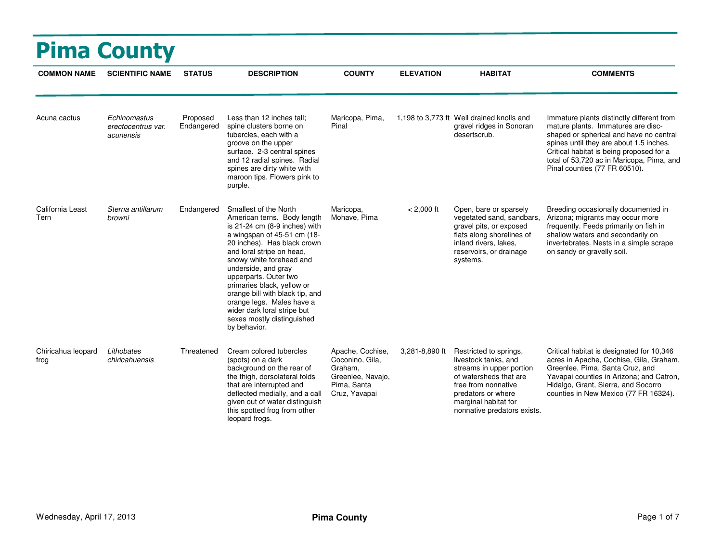| <b>Pima County</b>         |                                                 |                        |                                                                                                                                                                                                                                                                                                                                                                                                                                         |                                                                                                     |                  |                                                                                                                                                                                                          |                                                                                                                                                                                                                                                                                                 |  |  |
|----------------------------|-------------------------------------------------|------------------------|-----------------------------------------------------------------------------------------------------------------------------------------------------------------------------------------------------------------------------------------------------------------------------------------------------------------------------------------------------------------------------------------------------------------------------------------|-----------------------------------------------------------------------------------------------------|------------------|----------------------------------------------------------------------------------------------------------------------------------------------------------------------------------------------------------|-------------------------------------------------------------------------------------------------------------------------------------------------------------------------------------------------------------------------------------------------------------------------------------------------|--|--|
| <b>COMMON NAME</b>         | <b>SCIENTIFIC NAME</b>                          | <b>STATUS</b>          | <b>DESCRIPTION</b>                                                                                                                                                                                                                                                                                                                                                                                                                      | <b>COUNTY</b>                                                                                       | <b>ELEVATION</b> | <b>HABITAT</b>                                                                                                                                                                                           | <b>COMMENTS</b>                                                                                                                                                                                                                                                                                 |  |  |
| Acuna cactus               | Echinomastus<br>erectocentrus var.<br>acunensis | Proposed<br>Endangered | Less than 12 inches tall:<br>spine clusters borne on<br>tubercles, each with a<br>groove on the upper<br>surface. 2-3 central spines<br>and 12 radial spines. Radial<br>spines are dirty white with<br>maroon tips. Flowers pink to<br>purple.                                                                                                                                                                                          | Maricopa, Pima,<br>Pinal                                                                            |                  | 1,198 to 3,773 ft Well drained knolls and<br>gravel ridges in Sonoran<br>desertscrub.                                                                                                                    | Immature plants distinctly different from<br>mature plants. Immatures are disc-<br>shaped or spherical and have no central<br>spines until they are about 1.5 inches.<br>Critical habitat is being proposed for a<br>total of 53,720 ac in Maricopa, Pima, and<br>Pinal counties (77 FR 60510). |  |  |
| California Least<br>Tern   | Sterna antillarum<br>browni                     | Endangered             | Smallest of the North<br>American terns. Body length<br>is 21-24 cm (8-9 inches) with<br>a wingspan of 45-51 cm (18-<br>20 inches). Has black crown<br>and loral stripe on head,<br>snowy white forehead and<br>underside, and gray<br>upperparts. Outer two<br>primaries black, yellow or<br>orange bill with black tip, and<br>orange legs. Males have a<br>wider dark loral stripe but<br>sexes mostly distinguished<br>by behavior. | Maricopa,<br>Mohave, Pima                                                                           | $< 2,000$ ft     | Open, bare or sparsely<br>vegetated sand, sandbars,<br>gravel pits, or exposed<br>flats along shorelines of<br>inland rivers, lakes,<br>reservoirs, or drainage<br>systems.                              | Breeding occasionally documented in<br>Arizona; migrants may occur more<br>frequently. Feeds primarily on fish in<br>shallow waters and secondarily on<br>invertebrates. Nests in a simple scrape<br>on sandy or gravelly soil.                                                                 |  |  |
| Chiricahua leopard<br>frog | Lithobates<br>chiricahuensis                    | Threatened             | Cream colored tubercles<br>(spots) on a dark<br>background on the rear of<br>the thigh, dorsolateral folds<br>that are interrupted and<br>deflected medially, and a call<br>given out of water distinguish<br>this spotted frog from other<br>leopard frogs.                                                                                                                                                                            | Apache, Cochise,<br>Coconino, Gila,<br>Graham,<br>Greenlee, Navaio,<br>Pima, Santa<br>Cruz, Yavapai | 3,281-8,890 ft   | Restricted to springs,<br>livestock tanks, and<br>streams in upper portion<br>of watersheds that are<br>free from nonnative<br>predators or where<br>marginal habitat for<br>nonnative predators exists. | Critical habitat is designated for 10,346<br>acres in Apache, Cochise, Gila, Graham,<br>Greenlee, Pima, Santa Cruz, and<br>Yavapai counties in Arizona; and Catron,<br>Hidalgo, Grant, Sierra, and Socorro<br>counties in New Mexico (77 FR 16324).                                             |  |  |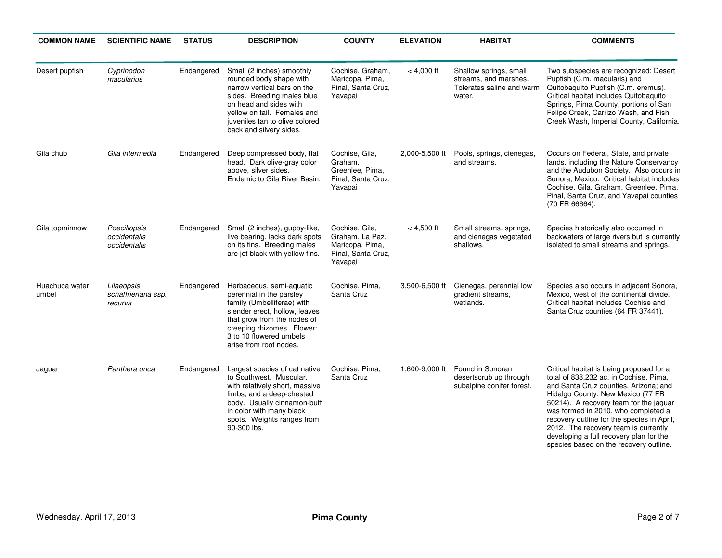| <b>COMMON NAME</b>      | <b>SCIENTIFIC NAME</b>                       | <b>STATUS</b> | <b>DESCRIPTION</b>                                                                                                                                                                                                                      | <b>COUNTY</b>                                                                         | <b>ELEVATION</b> | <b>HABITAT</b>                                                                         | <b>COMMENTS</b>                                                                                                                                                                                                                                                                                                                                                                                                              |
|-------------------------|----------------------------------------------|---------------|-----------------------------------------------------------------------------------------------------------------------------------------------------------------------------------------------------------------------------------------|---------------------------------------------------------------------------------------|------------------|----------------------------------------------------------------------------------------|------------------------------------------------------------------------------------------------------------------------------------------------------------------------------------------------------------------------------------------------------------------------------------------------------------------------------------------------------------------------------------------------------------------------------|
| Desert pupfish          | Cyprinodon<br>macularius                     | Endangered    | Small (2 inches) smoothly<br>rounded body shape with<br>narrow vertical bars on the<br>sides. Breeding males blue<br>on head and sides with<br>yellow on tail. Females and<br>juveniles tan to olive colored<br>back and silvery sides. | Cochise, Graham,<br>Maricopa, Pima,<br>Pinal, Santa Cruz,<br>Yavapai                  | $< 4,000$ ft     | Shallow springs, small<br>streams, and marshes.<br>Tolerates saline and warm<br>water. | Two subspecies are recognized: Desert<br>Pupfish (C.m. macularis) and<br>Quitobaquito Pupfish (C.m. eremus).<br>Critical habitat includes Quitobaquito<br>Springs, Pima County, portions of San<br>Felipe Creek, Carrizo Wash, and Fish<br>Creek Wash, Imperial County, California.                                                                                                                                          |
| Gila chub               | Gila intermedia                              | Endangered    | Deep compressed body, flat<br>head. Dark olive-gray color<br>above, silver sides.<br>Endemic to Gila River Basin.                                                                                                                       | Cochise, Gila,<br>Graham,<br>Greenlee, Pima,<br>Pinal, Santa Cruz,<br>Yavapai         | 2,000-5,500 ft   | Pools, springs, cienegas,<br>and streams.                                              | Occurs on Federal, State, and private<br>lands, including the Nature Conservancy<br>and the Audubon Society. Also occurs in<br>Sonora, Mexico. Critical habitat includes<br>Cochise, Gila, Graham, Greenlee, Pima,<br>Pinal, Santa Cruz, and Yavapai counties<br>(70 FR 66664).                                                                                                                                              |
| Gila topminnow          | Poeciliopsis<br>occidentalis<br>occidentalis | Endangered    | Small (2 inches), guppy-like,<br>live bearing, lacks dark spots<br>on its fins. Breeding males<br>are jet black with yellow fins.                                                                                                       | Cochise, Gila,<br>Graham, La Paz,<br>Maricopa, Pima,<br>Pinal, Santa Cruz,<br>Yavapai | $< 4,500$ ft     | Small streams, springs,<br>and cienegas vegetated<br>shallows.                         | Species historically also occurred in<br>backwaters of large rivers but is currently<br>isolated to small streams and springs.                                                                                                                                                                                                                                                                                               |
| Huachuca water<br>umbel | Lilaeopsis<br>schaffneriana ssp.<br>recurva  | Endangered    | Herbaceous, semi-aquatic<br>perennial in the parsley<br>family (Umbelliferae) with<br>slender erect, hollow, leaves<br>that grow from the nodes of<br>creeping rhizomes. Flower:<br>3 to 10 flowered umbels<br>arise from root nodes.   | Cochise, Pima,<br>Santa Cruz                                                          | 3,500-6,500 ft   | Cienegas, perennial low<br>gradient streams,<br>wetlands.                              | Species also occurs in adjacent Sonora,<br>Mexico, west of the continental divide.<br>Critical habitat includes Cochise and<br>Santa Cruz counties (64 FR 37441).                                                                                                                                                                                                                                                            |
| Jaguar                  | Panthera onca                                | Endangered    | Largest species of cat native<br>to Southwest. Muscular,<br>with relatively short, massive<br>limbs, and a deep-chested<br>body. Usually cinnamon-buff<br>in color with many black<br>spots. Weights ranges from<br>90-300 lbs.         | Cochise, Pima,<br>Santa Cruz                                                          | 1,600-9,000 ft   | Found in Sonoran<br>desertscrub up through<br>subalpine conifer forest.                | Critical habitat is being proposed for a<br>total of 838,232 ac. in Cochise, Pima,<br>and Santa Cruz counties, Arizona; and<br>Hidalgo County, New Mexico (77 FR<br>50214). A recovery team for the jaguar<br>was formed in 2010, who completed a<br>recovery outline for the species in April,<br>2012. The recovery team is currently<br>developing a full recovery plan for the<br>species based on the recovery outline. |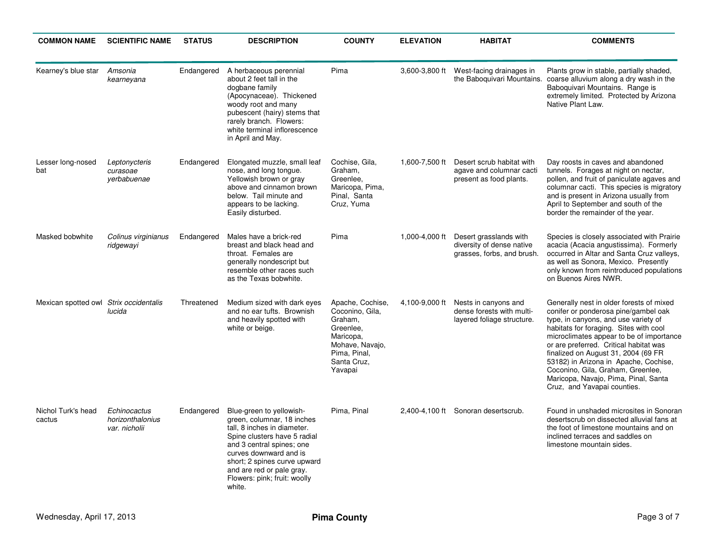| <b>COMMON NAME</b>                     | <b>SCIENTIFIC NAME</b>                            | <b>STATUS</b> | <b>DESCRIPTION</b>                                                                                                                                                                                                                                                                  | <b>COUNTY</b>                                                                                                                         | <b>ELEVATION</b> | <b>HABITAT</b>                                                                    | <b>COMMENTS</b>                                                                                                                                                                                                                                                                                                                                                                                                                                      |
|----------------------------------------|---------------------------------------------------|---------------|-------------------------------------------------------------------------------------------------------------------------------------------------------------------------------------------------------------------------------------------------------------------------------------|---------------------------------------------------------------------------------------------------------------------------------------|------------------|-----------------------------------------------------------------------------------|------------------------------------------------------------------------------------------------------------------------------------------------------------------------------------------------------------------------------------------------------------------------------------------------------------------------------------------------------------------------------------------------------------------------------------------------------|
| Kearney's blue star                    | Amsonia<br>kearneyana                             | Endangered    | A herbaceous perennial<br>about 2 feet tall in the<br>dogbane family<br>(Apocynaceae). Thickened<br>woody root and many<br>pubescent (hairy) stems that<br>rarely branch. Flowers:<br>white terminal inflorescence<br>in April and May.                                             | Pima                                                                                                                                  | 3,600-3,800 ft   | West-facing drainages in                                                          | Plants grow in stable, partially shaded,<br>the Baboquivari Mountains. coarse alluvium along a dry wash in the<br>Baboquivari Mountains. Range is<br>extremely limited. Protected by Arizona<br>Native Plant Law.                                                                                                                                                                                                                                    |
| Lesser long-nosed<br>bat               | Leptonycteris<br>curasoae<br>yerbabuenae          | Endangered    | Elongated muzzle, small leaf<br>nose, and long tonque.<br>Yellowish brown or gray<br>above and cinnamon brown<br>below. Tail minute and<br>appears to be lacking.<br>Easily disturbed.                                                                                              | Cochise, Gila,<br>Graham,<br>Greenlee,<br>Maricopa, Pima,<br>Pinal, Santa<br>Cruz, Yuma                                               | 1,600-7,500 ft   | Desert scrub habitat with<br>agave and columnar cacti<br>present as food plants.  | Day roosts in caves and abandoned<br>tunnels. Forages at night on nectar,<br>pollen, and fruit of paniculate agaves and<br>columnar cacti. This species is migratory<br>and is present in Arizona usually from<br>April to September and south of the<br>border the remainder of the year.                                                                                                                                                           |
| Masked bobwhite                        | Colinus virginianus<br>ridgewayi                  | Endangered    | Males have a brick-red<br>breast and black head and<br>throat. Females are<br>generally nondescript but<br>resemble other races such<br>as the Texas bobwhite.                                                                                                                      | Pima                                                                                                                                  | 1,000-4,000 ft   | Desert grasslands with<br>diversity of dense native<br>grasses, forbs, and brush. | Species is closely associated with Prairie<br>acacia (Acacia angustissima). Formerly<br>occurred in Altar and Santa Cruz valleys.<br>as well as Sonora, Mexico. Presently<br>only known from reintroduced populations<br>on Buenos Aires NWR.                                                                                                                                                                                                        |
| Mexican spotted owl Strix occidentalis | lucida                                            | Threatened    | Medium sized with dark eyes<br>and no ear tufts. Brownish<br>and heavily spotted with<br>white or beige.                                                                                                                                                                            | Apache, Cochise,<br>Coconino, Gila,<br>Graham,<br>Greenlee,<br>Maricopa,<br>Mohave, Navajo,<br>Pima, Pinal,<br>Santa Cruz,<br>Yavapai | 4,100-9,000 ft   | Nests in canyons and<br>dense forests with multi-<br>layered foliage structure.   | Generally nest in older forests of mixed<br>conifer or ponderosa pine/gambel oak<br>type, in canyons, and use variety of<br>habitats for foraging. Sites with cool<br>microclimates appear to be of importance<br>or are preferred. Critical habitat was<br>finalized on August 31, 2004 (69 FR<br>53182) in Arizona in Apache, Cochise,<br>Coconino, Gila, Graham, Greenlee,<br>Maricopa, Navajo, Pima, Pinal, Santa<br>Cruz, and Yavapai counties. |
| Nichol Turk's head<br>cactus           | Echinocactus<br>horizonthalonius<br>var. nicholii | Endangered    | Blue-green to yellowish-<br>green, columnar, 18 inches<br>tall, 8 inches in diameter.<br>Spine clusters have 5 radial<br>and 3 central spines; one<br>curves downward and is<br>short; 2 spines curve upward<br>and are red or pale gray.<br>Flowers: pink; fruit: woolly<br>white. | Pima, Pinal                                                                                                                           |                  | 2,400-4,100 ft Sonoran desertscrub.                                               | Found in unshaded microsites in Sonoran<br>desertscrub on dissected alluvial fans at<br>the foot of limestone mountains and on<br>inclined terraces and saddles on<br>limestone mountain sides.                                                                                                                                                                                                                                                      |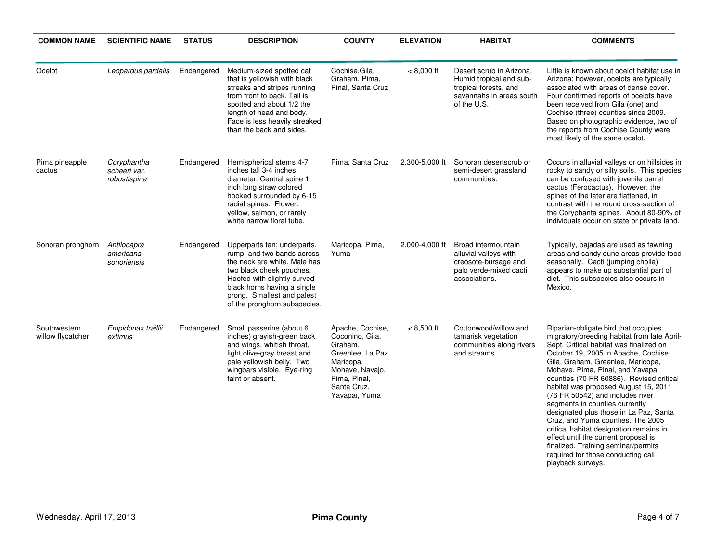| <b>COMMON NAME</b>                | <b>SCIENTIFIC NAME</b>                      | <b>STATUS</b> | <b>DESCRIPTION</b>                                                                                                                                                                                                                                | <b>COUNTY</b>                                                                                                                                       | <b>ELEVATION</b> | <b>HABITAT</b>                                                                                                          | <b>COMMENTS</b>                                                                                                                                                                                                                                                                                                                                                                                                                                                                                                                                                                                                                                                               |
|-----------------------------------|---------------------------------------------|---------------|---------------------------------------------------------------------------------------------------------------------------------------------------------------------------------------------------------------------------------------------------|-----------------------------------------------------------------------------------------------------------------------------------------------------|------------------|-------------------------------------------------------------------------------------------------------------------------|-------------------------------------------------------------------------------------------------------------------------------------------------------------------------------------------------------------------------------------------------------------------------------------------------------------------------------------------------------------------------------------------------------------------------------------------------------------------------------------------------------------------------------------------------------------------------------------------------------------------------------------------------------------------------------|
| Ocelot                            | Leopardus pardalis                          | Endangered    | Medium-sized spotted cat<br>that is yellowish with black<br>streaks and stripes running<br>from front to back. Tail is<br>spotted and about 1/2 the<br>length of head and body.<br>Face is less heavily streaked<br>than the back and sides.      | Cochise, Gila,<br>Graham, Pima,<br>Pinal, Santa Cruz                                                                                                | $< 8,000$ ft     | Desert scrub in Arizona.<br>Humid tropical and sub-<br>tropical forests, and<br>savannahs in areas south<br>of the U.S. | Little is known about ocelot habitat use in<br>Arizona; however, ocelots are typically<br>associated with areas of dense cover.<br>Four confirmed reports of ocelots have<br>been received from Gila (one) and<br>Cochise (three) counties since 2009.<br>Based on photographic evidence, two of<br>the reports from Cochise County were<br>most likely of the same ocelot.                                                                                                                                                                                                                                                                                                   |
| Pima pineapple<br>cactus          | Coryphantha<br>scheeri var.<br>robustispina | Endangered    | Hemispherical stems 4-7<br>inches tall 3-4 inches<br>diameter. Central spine 1<br>inch long straw colored<br>hooked surrounded by 6-15<br>radial spines. Flower:<br>yellow, salmon, or rarely<br>white narrow floral tube.                        | Pima, Santa Cruz                                                                                                                                    | 2,300-5,000 ft   | Sonoran desertscrub or<br>semi-desert grassland<br>communities.                                                         | Occurs in alluvial valleys or on hillsides in<br>rocky to sandy or silty soils. This species<br>can be confused with juvenile barrel<br>cactus (Ferocactus). However, the<br>spines of the later are flattened, in<br>contrast with the round cross-section of<br>the Coryphanta spines. About 80-90% of<br>individuals occur on state or private land.                                                                                                                                                                                                                                                                                                                       |
| Sonoran pronghorn                 | Antilocapra<br>americana<br>sonoriensis     | Endangered    | Upperparts tan; underparts,<br>rump, and two bands across<br>the neck are white. Male has<br>two black cheek pouches.<br>Hoofed with slightly curved<br>black horns having a single<br>prong. Smallest and palest<br>of the pronghorn subspecies. | Maricopa, Pima,<br>Yuma                                                                                                                             | 2,000-4,000 ft   | Broad intermountain<br>alluvial valleys with<br>creosote-bursage and<br>palo verde-mixed cacti<br>associations.         | Typically, bajadas are used as fawning<br>areas and sandy dune areas provide food<br>seasonally. Cacti (jumping cholla)<br>appears to make up substantial part of<br>diet. This subspecies also occurs in<br>Mexico.                                                                                                                                                                                                                                                                                                                                                                                                                                                          |
| Southwestern<br>willow flycatcher | Empidonax traillii<br>extimus               | Endangered    | Small passerine (about 6)<br>inches) grayish-green back<br>and wings, whitish throat,<br>light olive-gray breast and<br>pale yellowish belly. Two<br>wingbars visible. Eye-ring<br>faint or absent.                                               | Apache, Cochise,<br>Coconino, Gila,<br>Graham,<br>Greenlee, La Paz,<br>Maricopa,<br>Mohave, Navajo,<br>Pima, Pinal,<br>Santa Cruz,<br>Yavapai, Yuma | $< 8,500$ ft     | Cottonwood/willow and<br>tamarisk vegetation<br>communities along rivers<br>and streams.                                | Riparian-obligate bird that occupies<br>migratory/breeding habitat from late April-<br>Sept. Critical habitat was finalized on<br>October 19, 2005 in Apache, Cochise,<br>Gila, Graham, Greenlee, Maricopa,<br>Mohave, Pima, Pinal, and Yavapai<br>counties (70 FR 60886). Revised critical<br>habitat was proposed August 15, 2011<br>(76 FR 50542) and includes river<br>segments in counties currently<br>designated plus those in La Paz, Santa<br>Cruz, and Yuma counties. The 2005<br>critical habitat designation remains in<br>effect until the current proposal is<br>finalized. Training seminar/permits<br>required for those conducting call<br>playback surveys. |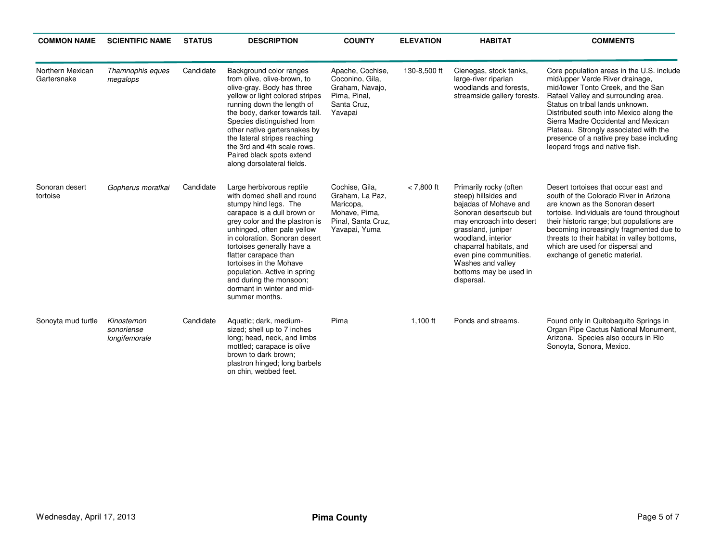| <b>COMMON NAME</b>              | <b>SCIENTIFIC NAME</b>                     | <b>STATUS</b> | <b>DESCRIPTION</b>                                                                                                                                                                                                                                                                                                                                                                                             | <b>COUNTY</b>                                                                                          | <b>ELEVATION</b> | <b>HABITAT</b>                                                                                                                                                                                                                                                                              | <b>COMMENTS</b>                                                                                                                                                                                                                                                                                                                                                                                       |
|---------------------------------|--------------------------------------------|---------------|----------------------------------------------------------------------------------------------------------------------------------------------------------------------------------------------------------------------------------------------------------------------------------------------------------------------------------------------------------------------------------------------------------------|--------------------------------------------------------------------------------------------------------|------------------|---------------------------------------------------------------------------------------------------------------------------------------------------------------------------------------------------------------------------------------------------------------------------------------------|-------------------------------------------------------------------------------------------------------------------------------------------------------------------------------------------------------------------------------------------------------------------------------------------------------------------------------------------------------------------------------------------------------|
| Northern Mexican<br>Gartersnake | Thamnophis eques<br>megalops               | Candidate     | Background color ranges<br>from olive, olive-brown, to<br>olive-gray. Body has three<br>yellow or light colored stripes<br>running down the length of<br>the body, darker towards tail.<br>Species distinguished from<br>other native gartersnakes by<br>the lateral stripes reaching<br>the 3rd and 4th scale rows.<br>Paired black spots extend<br>along dorsolateral fields.                                | Apache, Cochise,<br>Coconino, Gila,<br>Graham, Navajo,<br>Pima, Pinal,<br>Santa Cruz.<br>Yavapai       | 130-8,500 ft     | Cienegas, stock tanks,<br>large-river riparian<br>woodlands and forests.<br>streamside gallery forests.                                                                                                                                                                                     | Core population areas in the U.S. include<br>mid/upper Verde River drainage,<br>mid/lower Tonto Creek, and the San<br>Rafael Valley and surrounding area.<br>Status on tribal lands unknown.<br>Distributed south into Mexico along the<br>Sierra Madre Occidental and Mexican<br>Plateau. Strongly associated with the<br>presence of a native prey base including<br>leopard frogs and native fish. |
| Sonoran desert<br>tortoise      | Gopherus morafkai                          | Candidate     | Large herbivorous reptile<br>with domed shell and round<br>stumpy hind legs. The<br>carapace is a dull brown or<br>grey color and the plastron is<br>unhinged, often pale yellow<br>in coloration. Sonoran desert<br>tortoises generally have a<br>flatter carapace than<br>tortoises in the Mohave<br>population. Active in spring<br>and during the monsoon;<br>dormant in winter and mid-<br>summer months. | Cochise, Gila,<br>Graham, La Paz,<br>Maricopa,<br>Mohave, Pima,<br>Pinal, Santa Cruz,<br>Yavapai, Yuma | $< 7,800$ ft     | Primarily rocky (often<br>steep) hillsides and<br>bajadas of Mohave and<br>Sonoran desertscub but<br>may encroach into desert<br>grassland, juniper<br>woodland, interior<br>chaparral habitats, and<br>even pine communities.<br>Washes and valley<br>bottoms may be used in<br>dispersal. | Desert tortoises that occur east and<br>south of the Colorado River in Arizona<br>are known as the Sonoran desert<br>tortoise. Individuals are found throughout<br>their historic range; but populations are<br>becoming increasingly fragmented due to<br>threats to their habitat in valley bottoms,<br>which are used for dispersal and<br>exchange of genetic material.                           |
| Sonoyta mud turtle              | Kinosternon<br>sonoriense<br>longifemorale | Candidate     | Aquatic; dark, medium-<br>sized; shell up to 7 inches<br>long; head, neck, and limbs<br>mottled; carapace is olive<br>brown to dark brown:<br>plastron hinged; long barbels<br>on chin, webbed feet.                                                                                                                                                                                                           | Pima                                                                                                   | $1,100$ ft       | Ponds and streams.                                                                                                                                                                                                                                                                          | Found only in Quitobaquito Springs in<br>Organ Pipe Cactus National Monument,<br>Arizona. Species also occurs in Rio<br>Sonoyta, Sonora, Mexico.                                                                                                                                                                                                                                                      |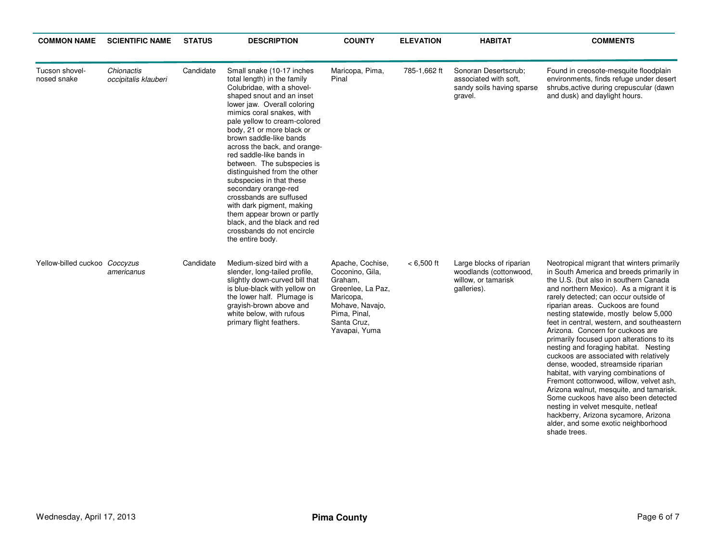| <b>COMMON NAME</b>            | <b>SCIENTIFIC NAME</b>             | <b>STATUS</b> | <b>DESCRIPTION</b>                                                                                                                                                                                                                                                                                                                                                                                                                                                                                                                                                                                                             | <b>COUNTY</b>                                                                                                                                       | <b>ELEVATION</b> | <b>HABITAT</b>                                                                           | <b>COMMENTS</b>                                                                                                                                                                                                                                                                                                                                                                                                                                                                                                                                                                                                                                                                                                                                                                                                                                                         |
|-------------------------------|------------------------------------|---------------|--------------------------------------------------------------------------------------------------------------------------------------------------------------------------------------------------------------------------------------------------------------------------------------------------------------------------------------------------------------------------------------------------------------------------------------------------------------------------------------------------------------------------------------------------------------------------------------------------------------------------------|-----------------------------------------------------------------------------------------------------------------------------------------------------|------------------|------------------------------------------------------------------------------------------|-------------------------------------------------------------------------------------------------------------------------------------------------------------------------------------------------------------------------------------------------------------------------------------------------------------------------------------------------------------------------------------------------------------------------------------------------------------------------------------------------------------------------------------------------------------------------------------------------------------------------------------------------------------------------------------------------------------------------------------------------------------------------------------------------------------------------------------------------------------------------|
| Tucson shovel-<br>nosed snake | Chionactis<br>occipitalis klauberi | Candidate     | Small snake (10-17 inches<br>total length) in the family<br>Colubridae, with a shovel-<br>shaped snout and an inset<br>lower jaw. Overall coloring<br>mimics coral snakes, with<br>pale yellow to cream-colored<br>body, 21 or more black or<br>brown saddle-like bands<br>across the back, and orange-<br>red saddle-like bands in<br>between. The subspecies is<br>distinguished from the other<br>subspecies in that these<br>secondary orange-red<br>crossbands are suffused<br>with dark pigment, making<br>them appear brown or partly<br>black, and the black and red<br>crossbands do not encircle<br>the entire body. | Maricopa, Pima,<br>Pinal                                                                                                                            | 785-1,662 ft     | Sonoran Desertscrub:<br>associated with soft.<br>sandy soils having sparse<br>gravel.    | Found in creosote-mesquite floodplain<br>environments, finds refuge under desert<br>shrubs, active during crepuscular (dawn<br>and dusk) and daylight hours.                                                                                                                                                                                                                                                                                                                                                                                                                                                                                                                                                                                                                                                                                                            |
| Yellow-billed cuckoo Coccyzus | americanus                         | Candidate     | Medium-sized bird with a<br>slender, long-tailed profile,<br>slightly down-curved bill that<br>is blue-black with yellow on<br>the lower half. Plumage is<br>grayish-brown above and<br>white below, with rufous<br>primary flight feathers.                                                                                                                                                                                                                                                                                                                                                                                   | Apache, Cochise,<br>Coconino, Gila,<br>Graham,<br>Greenlee, La Paz,<br>Maricopa,<br>Mohave, Navajo,<br>Pima, Pinal,<br>Santa Cruz.<br>Yavapai, Yuma | $< 6,500$ ft     | Large blocks of riparian<br>woodlands (cottonwood,<br>willow, or tamarisk<br>galleries). | Neotropical migrant that winters primarily<br>in South America and breeds primarily in<br>the U.S. (but also in southern Canada<br>and northern Mexico). As a migrant it is<br>rarely detected; can occur outside of<br>riparian areas. Cuckoos are found<br>nesting statewide, mostly below 5,000<br>feet in central, western, and southeastern<br>Arizona. Concern for cuckoos are<br>primarily focused upon alterations to its<br>nesting and foraging habitat. Nesting<br>cuckoos are associated with relatively<br>dense, wooded, streamside riparian<br>habitat, with varying combinations of<br>Fremont cottonwood, willow, velvet ash,<br>Arizona walnut, mesquite, and tamarisk.<br>Some cuckoos have also been detected<br>nesting in velvet mesquite, netleaf<br>hackberry, Arizona sycamore, Arizona<br>alder, and some exotic neighborhood<br>shade trees. |